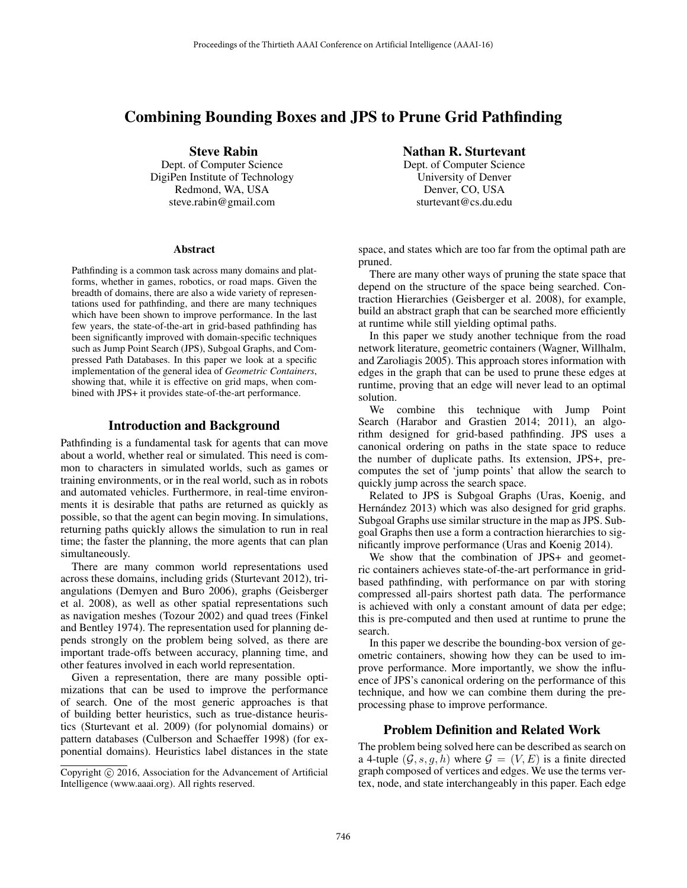# Combining Bounding Boxes and JPS to Prune Grid Pathfinding

Steve Rabin Dept. of Computer Science DigiPen Institute of Technology Redmond, WA, USA steve.rabin@gmail.com

#### Abstract

Pathfinding is a common task across many domains and platforms, whether in games, robotics, or road maps. Given the breadth of domains, there are also a wide variety of representations used for pathfinding, and there are many techniques which have been shown to improve performance. In the last few years, the state-of-the-art in grid-based pathfinding has been significantly improved with domain-specific techniques such as Jump Point Search (JPS), Subgoal Graphs, and Compressed Path Databases. In this paper we look at a specific implementation of the general idea of *Geometric Containers*, showing that, while it is effective on grid maps, when combined with JPS+ it provides state-of-the-art performance.

### Introduction and Background

Pathfinding is a fundamental task for agents that can move about a world, whether real or simulated. This need is common to characters in simulated worlds, such as games or training environments, or in the real world, such as in robots and automated vehicles. Furthermore, in real-time environments it is desirable that paths are returned as quickly as possible, so that the agent can begin moving. In simulations, returning paths quickly allows the simulation to run in real time; the faster the planning, the more agents that can plan simultaneously.

There are many common world representations used across these domains, including grids (Sturtevant 2012), triangulations (Demyen and Buro 2006), graphs (Geisberger et al. 2008), as well as other spatial representations such as navigation meshes (Tozour 2002) and quad trees (Finkel and Bentley 1974). The representation used for planning depends strongly on the problem being solved, as there are important trade-offs between accuracy, planning time, and other features involved in each world representation.

Given a representation, there are many possible optimizations that can be used to improve the performance of search. One of the most generic approaches is that of building better heuristics, such as true-distance heuristics (Sturtevant et al. 2009) (for polynomial domains) or pattern databases (Culberson and Schaeffer 1998) (for exponential domains). Heuristics label distances in the state

#### Nathan R. Sturtevant

Dept. of Computer Science University of Denver Denver, CO, USA sturtevant@cs.du.edu

space, and states which are too far from the optimal path are pruned.

There are many other ways of pruning the state space that depend on the structure of the space being searched. Contraction Hierarchies (Geisberger et al. 2008), for example, build an abstract graph that can be searched more efficiently at runtime while still yielding optimal paths.

In this paper we study another technique from the road network literature, geometric containers (Wagner, Willhalm, and Zaroliagis 2005). This approach stores information with edges in the graph that can be used to prune these edges at runtime, proving that an edge will never lead to an optimal solution.

We combine this technique with Jump Point Search (Harabor and Grastien 2014; 2011), an algorithm designed for grid-based pathfinding. JPS uses a canonical ordering on paths in the state space to reduce the number of duplicate paths. Its extension, JPS+, precomputes the set of 'jump points' that allow the search to quickly jump across the search space.

Related to JPS is Subgoal Graphs (Uras, Koenig, and Hernández 2013) which was also designed for grid graphs. Subgoal Graphs use similar structure in the map as JPS. Subgoal Graphs then use a form a contraction hierarchies to significantly improve performance (Uras and Koenig 2014).

We show that the combination of JPS+ and geometric containers achieves state-of-the-art performance in gridbased pathfinding, with performance on par with storing compressed all-pairs shortest path data. The performance is achieved with only a constant amount of data per edge; this is pre-computed and then used at runtime to prune the search.

In this paper we describe the bounding-box version of geometric containers, showing how they can be used to improve performance. More importantly, we show the influence of JPS's canonical ordering on the performance of this technique, and how we can combine them during the preprocessing phase to improve performance.

# Problem Definition and Related Work

The problem being solved here can be described as search on a 4-tuple  $(\mathcal{G}, s, g, h)$  where  $\mathcal{G} = (V, E)$  is a finite directed graph composed of vertices and edges. We use the terms vertex, node, and state interchangeably in this paper. Each edge

Copyright  $\odot$  2016, Association for the Advancement of Artificial Intelligence (www.aaai.org). All rights reserved.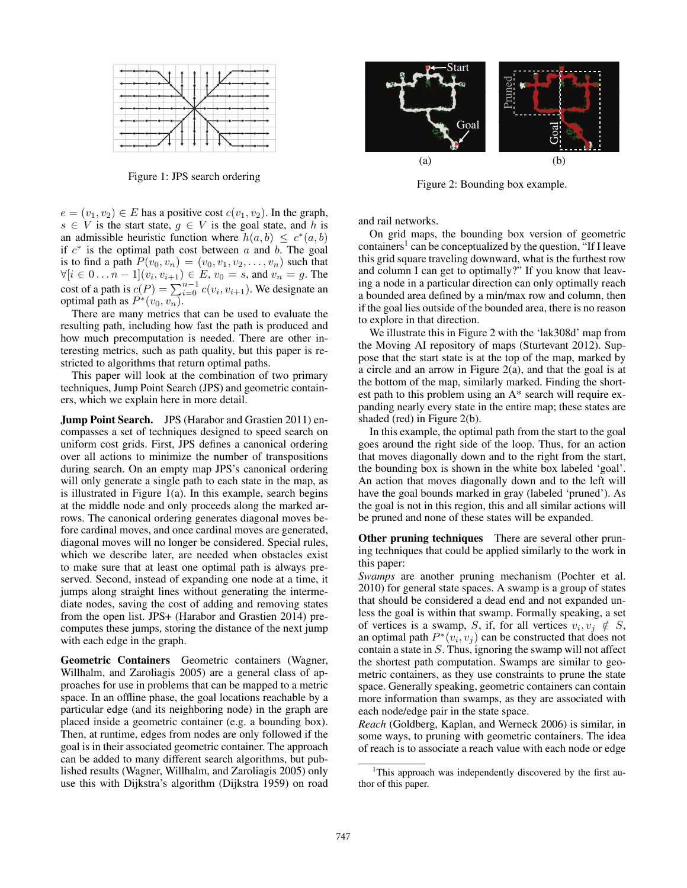

Figure 1: JPS search ordering

 $e = (v_1, v_2) \in E$  has a positive cost  $c(v_1, v_2)$ . In the graph,  $s \in V$  is the start state,  $g \in V$  is the goal state, and h is an admissible heuristic function where  $h(a, b) \leq c^*(a, b)$ if  $c^*$  is the optimal path cost between a and b. The goal is to find a path  $P(v_0, v_n)=(v_0, v_1, v_2,...,v_n)$  such that  $\forall [i \in 0 \dots n-1](v_i, v_{i+1}) \in E$ ,  $v_0 = s$ , and  $v_n = g$ . The cost of a path is  $c(P) = \sum_{i=0}^{n-1} c(v_i, v_{i+1})$ . We designate an optimal path as  $P^*(v_0, v_n)$ .

There are many metrics that can be used to evaluate the resulting path, including how fast the path is produced and how much precomputation is needed. There are other interesting metrics, such as path quality, but this paper is restricted to algorithms that return optimal paths.

This paper will look at the combination of two primary techniques, Jump Point Search (JPS) and geometric containers, which we explain here in more detail.

Jump Point Search. JPS (Harabor and Grastien 2011) encompasses a set of techniques designed to speed search on uniform cost grids. First, JPS defines a canonical ordering over all actions to minimize the number of transpositions during search. On an empty map JPS's canonical ordering will only generate a single path to each state in the map, as is illustrated in Figure 1(a). In this example, search begins at the middle node and only proceeds along the marked arrows. The canonical ordering generates diagonal moves before cardinal moves, and once cardinal moves are generated, diagonal moves will no longer be considered. Special rules, which we describe later, are needed when obstacles exist to make sure that at least one optimal path is always preserved. Second, instead of expanding one node at a time, it jumps along straight lines without generating the intermediate nodes, saving the cost of adding and removing states from the open list. JPS+ (Harabor and Grastien 2014) precomputes these jumps, storing the distance of the next jump with each edge in the graph.

Geometric Containers Geometric containers (Wagner, Willhalm, and Zaroliagis 2005) are a general class of approaches for use in problems that can be mapped to a metric space. In an offline phase, the goal locations reachable by a particular edge (and its neighboring node) in the graph are placed inside a geometric container (e.g. a bounding box). Then, at runtime, edges from nodes are only followed if the goal is in their associated geometric container. The approach can be added to many different search algorithms, but published results (Wagner, Willhalm, and Zaroliagis 2005) only use this with Dijkstra's algorithm (Dijkstra 1959) on road



Figure 2: Bounding box example.

and rail networks.

On grid maps, the bounding box version of geometric containers<sup>1</sup> can be conceptualized by the question, "If I leave this grid square traveling downward, what is the furthest row and column I can get to optimally?" If you know that leaving a node in a particular direction can only optimally reach a bounded area defined by a min/max row and column, then if the goal lies outside of the bounded area, there is no reason to explore in that direction.

We illustrate this in Figure 2 with the 'lak308d' map from the Moving AI repository of maps (Sturtevant 2012). Suppose that the start state is at the top of the map, marked by a circle and an arrow in Figure 2(a), and that the goal is at the bottom of the map, similarly marked. Finding the shortest path to this problem using an A\* search will require expanding nearly every state in the entire map; these states are shaded (red) in Figure 2(b).

In this example, the optimal path from the start to the goal goes around the right side of the loop. Thus, for an action that moves diagonally down and to the right from the start, the bounding box is shown in the white box labeled 'goal'. An action that moves diagonally down and to the left will have the goal bounds marked in gray (labeled 'pruned'). As the goal is not in this region, this and all similar actions will be pruned and none of these states will be expanded.

**Other pruning techniques** There are several other pruning techniques that could be applied similarly to the work in this paper:

*Swamps* are another pruning mechanism (Pochter et al. 2010) for general state spaces. A swamp is a group of states that should be considered a dead end and not expanded unless the goal is within that swamp. Formally speaking, a set of vertices is a swamp, S, if, for all vertices  $v_i, v_j \notin S$ , an optimal path  $P^*(v_i, v_j)$  can be constructed that does not contain a state in S. Thus, ignoring the swamp will not affect the shortest path computation. Swamps are similar to geometric containers, as they use constraints to prune the state space. Generally speaking, geometric containers can contain more information than swamps, as they are associated with each node/edge pair in the state space.

*Reach* (Goldberg, Kaplan, and Werneck 2006) is similar, in some ways, to pruning with geometric containers. The idea of reach is to associate a reach value with each node or edge

<sup>&</sup>lt;sup>1</sup>This approach was independently discovered by the first author of this paper.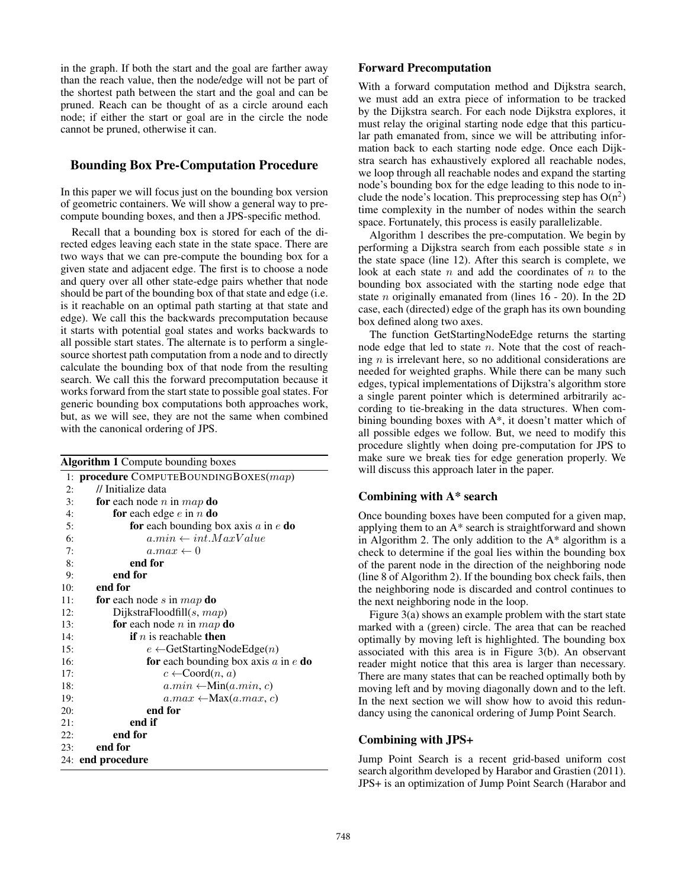in the graph. If both the start and the goal are farther away than the reach value, then the node/edge will not be part of the shortest path between the start and the goal and can be pruned. Reach can be thought of as a circle around each node; if either the start or goal are in the circle the node cannot be pruned, otherwise it can.

# Bounding Box Pre-Computation Procedure

In this paper we will focus just on the bounding box version of geometric containers. We will show a general way to precompute bounding boxes, and then a JPS-specific method.

Recall that a bounding box is stored for each of the directed edges leaving each state in the state space. There are two ways that we can pre-compute the bounding box for a given state and adjacent edge. The first is to choose a node and query over all other state-edge pairs whether that node should be part of the bounding box of that state and edge (i.e. is it reachable on an optimal path starting at that state and edge). We call this the backwards precomputation because it starts with potential goal states and works backwards to all possible start states. The alternate is to perform a singlesource shortest path computation from a node and to directly calculate the bounding box of that node from the resulting search. We call this the forward precomputation because it works forward from the start state to possible goal states. For generic bounding box computations both approaches work, but, as we will see, they are not the same when combined with the canonical ordering of JPS.

| <b>Algorithm 1</b> Compute bounding boxes |                                                       |  |  |  |  |  |
|-------------------------------------------|-------------------------------------------------------|--|--|--|--|--|
|                                           | 1: procedure COMPUTEBOUNDINGBOXES(map)                |  |  |  |  |  |
| 2:                                        | // Initialize data                                    |  |  |  |  |  |
| 3:                                        | <b>for</b> each node <i>n</i> in <i>map</i> <b>do</b> |  |  |  |  |  |
| 4:                                        | <b>for</b> each edge $e$ in $n$ <b>do</b>             |  |  |  |  |  |
| 5:                                        | for each bounding box axis $a$ in $e$ do              |  |  |  |  |  |
| 6:                                        | $a.min \leftarrow int.maxValue$                       |  |  |  |  |  |
| 7:                                        | $a.max \leftarrow 0$                                  |  |  |  |  |  |
| 8:                                        | end for                                               |  |  |  |  |  |
| 9:                                        | end for                                               |  |  |  |  |  |
| 10:                                       | end for                                               |  |  |  |  |  |
| 11:                                       | for each node s in map do                             |  |  |  |  |  |
| 12:                                       | DijkstraFloodfill $(s, map)$                          |  |  |  |  |  |
| 13:                                       | for each node <i>n</i> in <i>map</i> do               |  |  |  |  |  |
| 14:                                       | <b>if</b> <i>n</i> is reachable <b>then</b>           |  |  |  |  |  |
| 15:                                       | $e \leftarrow$ GetStartingNodeEdge(n)                 |  |  |  |  |  |
| 16:                                       | for each bounding box axis $a$ in $e$ do              |  |  |  |  |  |
| 17:                                       | $c \leftarrow$ Coord $(n, a)$                         |  |  |  |  |  |
| 18:                                       | $a.min \leftarrow Min(a.min, c)$                      |  |  |  |  |  |
| 19:                                       | $a.max \leftarrow \text{Max}(a.max, c)$               |  |  |  |  |  |
| 20:                                       | end for                                               |  |  |  |  |  |
| 21:                                       | end if                                                |  |  |  |  |  |
| 22:                                       | end for                                               |  |  |  |  |  |
| 23:                                       | end for                                               |  |  |  |  |  |
|                                           | 24: end procedure                                     |  |  |  |  |  |
|                                           |                                                       |  |  |  |  |  |

# Forward Precomputation

With a forward computation method and Dijkstra search, we must add an extra piece of information to be tracked by the Dijkstra search. For each node Dijkstra explores, it must relay the original starting node edge that this particular path emanated from, since we will be attributing information back to each starting node edge. Once each Dijkstra search has exhaustively explored all reachable nodes, we loop through all reachable nodes and expand the starting node's bounding box for the edge leading to this node to include the node's location. This preprocessing step has  $O(n^2)$ time complexity in the number of nodes within the search space. Fortunately, this process is easily parallelizable.

Algorithm 1 describes the pre-computation. We begin by performing a Dijkstra search from each possible state s in the state space (line 12). After this search is complete, we look at each state  $n$  and add the coordinates of  $n$  to the bounding box associated with the starting node edge that state *n* originally emanated from (lines  $16 - 20$ ). In the 2D case, each (directed) edge of the graph has its own bounding box defined along two axes.

The function GetStartingNodeEdge returns the starting node edge that led to state  $n$ . Note that the cost of reaching  $n$  is irrelevant here, so no additional considerations are needed for weighted graphs. While there can be many such edges, typical implementations of Dijkstra's algorithm store a single parent pointer which is determined arbitrarily according to tie-breaking in the data structures. When combining bounding boxes with A\*, it doesn't matter which of all possible edges we follow. But, we need to modify this procedure slightly when doing pre-computation for JPS to make sure we break ties for edge generation properly. We will discuss this approach later in the paper.

# Combining with A\* search

Once bounding boxes have been computed for a given map, applying them to an A\* search is straightforward and shown in Algorithm 2. The only addition to the  $A^*$  algorithm is a check to determine if the goal lies within the bounding box of the parent node in the direction of the neighboring node (line 8 of Algorithm 2). If the bounding box check fails, then the neighboring node is discarded and control continues to the next neighboring node in the loop.

Figure 3(a) shows an example problem with the start state marked with a (green) circle. The area that can be reached optimally by moving left is highlighted. The bounding box associated with this area is in Figure 3(b). An observant reader might notice that this area is larger than necessary. There are many states that can be reached optimally both by moving left and by moving diagonally down and to the left. In the next section we will show how to avoid this redundancy using the canonical ordering of Jump Point Search.

### Combining with JPS+

Jump Point Search is a recent grid-based uniform cost search algorithm developed by Harabor and Grastien (2011). JPS+ is an optimization of Jump Point Search (Harabor and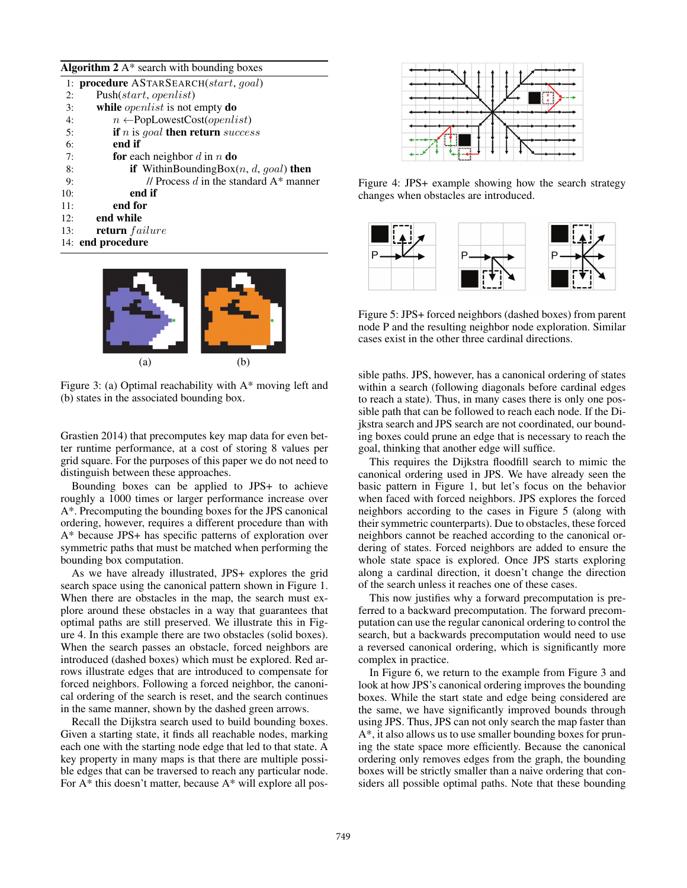#### Algorithm  $2A^*$  search with bounding boxes

|     | 1: <b>procedure</b> ASTARSEARCH(start, goal)          |
|-----|-------------------------------------------------------|
| 2:  | Push(start, open list)                                |
| 3:  | while <i>openlist</i> is not empty <b>do</b>          |
| 4:  | $n \leftarrow PopLowestCost(openlist)$                |
| 5:  | <b>if</b> <i>n</i> is goal <b>then return</b> success |
| 6:  | end if                                                |
| 7:  | <b>for</b> each neighbor d in n <b>do</b>             |
| 8:  | <b>if</b> WithinBoundingBox $(n, d, goal)$ then       |
| 9:  | // Process $d$ in the standard $A^*$ manner           |
| 10: | end if                                                |
| 11: | end for                                               |
| 12: | end while                                             |
| 13: | <b>return</b> failure                                 |
|     | 14: end procedure                                     |
|     |                                                       |



Figure 3: (a) Optimal reachability with A\* moving left and (b) states in the associated bounding box.

Grastien 2014) that precomputes key map data for even better runtime performance, at a cost of storing 8 values per grid square. For the purposes of this paper we do not need to distinguish between these approaches.

Bounding boxes can be applied to JPS+ to achieve roughly a 1000 times or larger performance increase over A\*. Precomputing the bounding boxes for the JPS canonical ordering, however, requires a different procedure than with A\* because JPS+ has specific patterns of exploration over symmetric paths that must be matched when performing the bounding box computation.

As we have already illustrated, JPS+ explores the grid search space using the canonical pattern shown in Figure 1. When there are obstacles in the map, the search must explore around these obstacles in a way that guarantees that optimal paths are still preserved. We illustrate this in Figure 4. In this example there are two obstacles (solid boxes). When the search passes an obstacle, forced neighbors are introduced (dashed boxes) which must be explored. Red arrows illustrate edges that are introduced to compensate for forced neighbors. Following a forced neighbor, the canonical ordering of the search is reset, and the search continues in the same manner, shown by the dashed green arrows.

Recall the Dijkstra search used to build bounding boxes. Given a starting state, it finds all reachable nodes, marking each one with the starting node edge that led to that state. A key property in many maps is that there are multiple possible edges that can be traversed to reach any particular node. For A\* this doesn't matter, because A\* will explore all pos-



Figure 4: JPS+ example showing how the search strategy changes when obstacles are introduced.



Figure 5: JPS+ forced neighbors (dashed boxes) from parent node P and the resulting neighbor node exploration. Similar cases exist in the other three cardinal directions.

sible paths. JPS, however, has a canonical ordering of states within a search (following diagonals before cardinal edges to reach a state). Thus, in many cases there is only one possible path that can be followed to reach each node. If the Dijkstra search and JPS search are not coordinated, our bounding boxes could prune an edge that is necessary to reach the goal, thinking that another edge will suffice.

This requires the Dijkstra floodfill search to mimic the canonical ordering used in JPS. We have already seen the basic pattern in Figure 1, but let's focus on the behavior when faced with forced neighbors. JPS explores the forced neighbors according to the cases in Figure 5 (along with their symmetric counterparts). Due to obstacles, these forced neighbors cannot be reached according to the canonical ordering of states. Forced neighbors are added to ensure the whole state space is explored. Once JPS starts exploring along a cardinal direction, it doesn't change the direction of the search unless it reaches one of these cases.

This now justifies why a forward precomputation is preferred to a backward precomputation. The forward precomputation can use the regular canonical ordering to control the search, but a backwards precomputation would need to use a reversed canonical ordering, which is significantly more complex in practice.

In Figure 6, we return to the example from Figure 3 and look at how JPS's canonical ordering improves the bounding boxes. While the start state and edge being considered are the same, we have significantly improved bounds through using JPS. Thus, JPS can not only search the map faster than A\*, it also allows us to use smaller bounding boxes for pruning the state space more efficiently. Because the canonical ordering only removes edges from the graph, the bounding boxes will be strictly smaller than a naive ordering that considers all possible optimal paths. Note that these bounding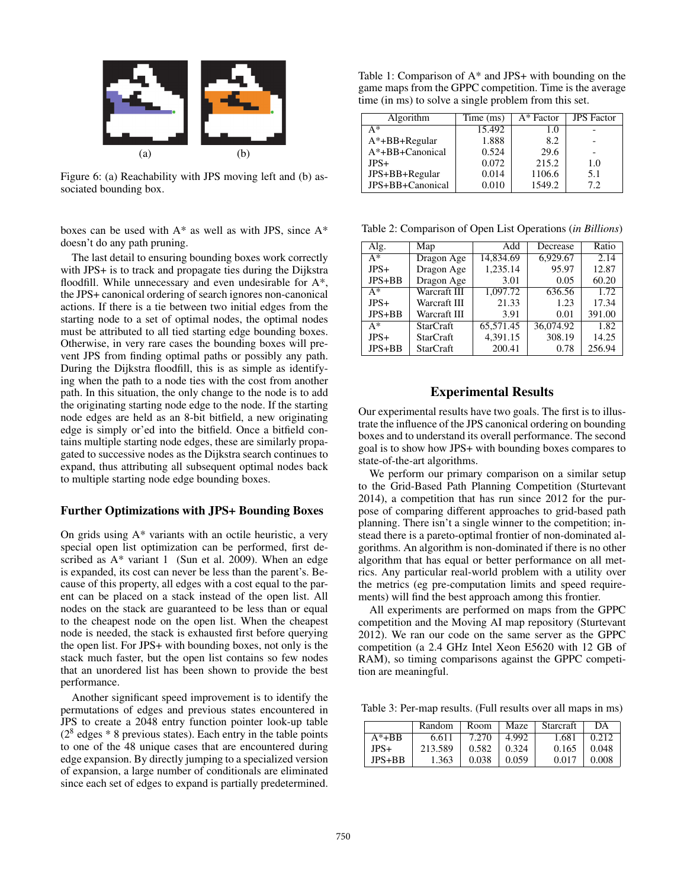

Figure 6: (a) Reachability with JPS moving left and (b) associated bounding box.

boxes can be used with  $A^*$  as well as with JPS, since  $A^*$ doesn't do any path pruning.

The last detail to ensuring bounding boxes work correctly with JPS+ is to track and propagate ties during the Dijkstra floodfill. While unnecessary and even undesirable for A\*, the JPS+ canonical ordering of search ignores non-canonical actions. If there is a tie between two initial edges from the starting node to a set of optimal nodes, the optimal nodes must be attributed to all tied starting edge bounding boxes. Otherwise, in very rare cases the bounding boxes will prevent JPS from finding optimal paths or possibly any path. During the Dijkstra floodfill, this is as simple as identifying when the path to a node ties with the cost from another path. In this situation, the only change to the node is to add the originating starting node edge to the node. If the starting node edges are held as an 8-bit bitfield, a new originating edge is simply or'ed into the bitfield. Once a bitfield contains multiple starting node edges, these are similarly propagated to successive nodes as the Dijkstra search continues to expand, thus attributing all subsequent optimal nodes back to multiple starting node edge bounding boxes.

### Further Optimizations with JPS+ Bounding Boxes

On grids using  $A^*$  variants with an octile heuristic, a very special open list optimization can be performed, first described as  $A^*$  variant 1 (Sun et al. 2009). When an edge is expanded, its cost can never be less than the parent's. Because of this property, all edges with a cost equal to the parent can be placed on a stack instead of the open list. All nodes on the stack are guaranteed to be less than or equal to the cheapest node on the open list. When the cheapest node is needed, the stack is exhausted first before querying the open list. For JPS+ with bounding boxes, not only is the stack much faster, but the open list contains so few nodes that an unordered list has been shown to provide the best performance.

Another significant speed improvement is to identify the permutations of edges and previous states encountered in JPS to create a 2048 entry function pointer look-up table  $(2^8 \text{ edges } * 8 \text{ previous states})$ . Each entry in the table points to one of the 48 unique cases that are encountered during edge expansion. By directly jumping to a specialized version of expansion, a large number of conditionals are eliminated since each set of edges to expand is partially predetermined.

Table 1: Comparison of A\* and JPS+ with bounding on the game maps from the GPPC competition. Time is the average time (in ms) to solve a single problem from this set.

| Algorithm        | Time (ms) | A* Factor | <b>JPS</b> Factor |
|------------------|-----------|-----------|-------------------|
| A*               | 15.492    | 1.0       |                   |
| A*+BB+Regular    | 1.888     | 8.2       |                   |
| A*+BB+Canonical  | 0.524     | 29.6      |                   |
| $JPS+$           | 0.072     | 215.2     | 1.0               |
| JPS+BB+Regular   | 0.014     | 1106.6    | 5.1               |
| JPS+BB+Canonical | 0.010     | 1549.2    | 7.2               |

Table 2: Comparison of Open List Operations (*in Billions*)

| Alg.       | Map              | Add       | Decrease  | Ratio  |
|------------|------------------|-----------|-----------|--------|
| $A^*$      | Dragon Age       | 14.834.69 | 6,929.67  | 2.14   |
| $JPS+$     | Dragon Age       | 1,235.14  | 95.97     | 12.87  |
| $JPS+BB$   | Dragon Age       | 3.01      | 0.05      | 60.20  |
| $A^*$      | Warcraft III     | 1.097.72  | 636.56    | 1.72   |
| $JPS+$     | Warcraft III     | 21.33     | 1.23      | 17.34  |
| $JPS + BB$ | Warcraft III     | 3.91      | 0.01      | 391.00 |
| A*         | <b>StarCraft</b> | 65,571.45 | 36,074.92 | 1.82   |
| $JPS+$     | <b>StarCraft</b> | 4.391.15  | 308.19    | 14.25  |
| $JPS+BB$   | <b>StarCraft</b> | 200.41    | 0.78      | 256.94 |

# Experimental Results

Our experimental results have two goals. The first is to illustrate the influence of the JPS canonical ordering on bounding boxes and to understand its overall performance. The second goal is to show how JPS+ with bounding boxes compares to state-of-the-art algorithms.

We perform our primary comparison on a similar setup to the Grid-Based Path Planning Competition (Sturtevant 2014), a competition that has run since 2012 for the purpose of comparing different approaches to grid-based path planning. There isn't a single winner to the competition; instead there is a pareto-optimal frontier of non-dominated algorithms. An algorithm is non-dominated if there is no other algorithm that has equal or better performance on all metrics. Any particular real-world problem with a utility over the metrics (eg pre-computation limits and speed requirements) will find the best approach among this frontier.

All experiments are performed on maps from the GPPC competition and the Moving AI map repository (Sturtevant 2012). We ran our code on the same server as the GPPC competition (a 2.4 GHz Intel Xeon E5620 with 12 GB of RAM), so timing comparisons against the GPPC competition are meaningful.

Table 3: Per-map results. (Full results over all maps in ms)

|          | Random  | Room  | Maze  | Starcraft | DА    |
|----------|---------|-------|-------|-----------|-------|
| $A^*+BB$ | 6.611   | 7.270 | 4.992 | 1.681     | 0.212 |
| JPS+     | 213.589 | 0.582 | 0.324 | 0.165     | 0.048 |
| JPS+BB.  | 1.363   | 0.038 | 0.059 | 0.017     | 0.008 |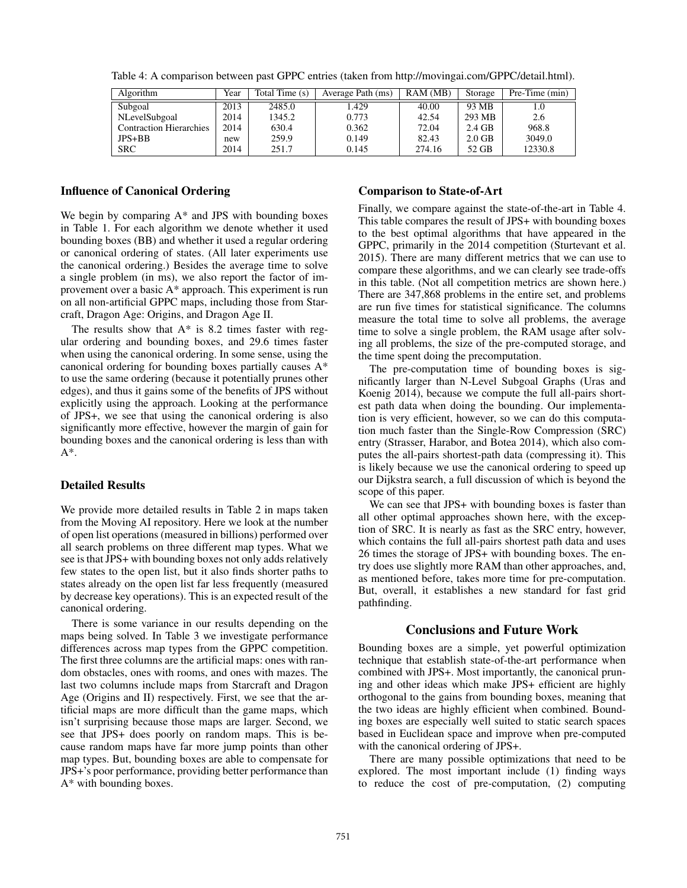| Algorithm                      | Year | Total Time (s) | Average Path (ms) | RAM(MB) | Storage  | $Pre-Time (min)$ |
|--------------------------------|------|----------------|-------------------|---------|----------|------------------|
| Subgoal                        | 2013 | 2485.0         | 1.429             | 40.00   | 93 MB    |                  |
| NLevelSubgoal                  | 2014 | 1345.2         | 0.773             | 42.54   | 293 MB   | 2.6              |
| <b>Contraction Hierarchies</b> | 2014 | 630.4          | 0.362             | 72.04   | $2.4$ GB | 968.8            |
| $JPS+BB$                       | new  | 259.9          | 0.149             | 82.43   | $2.0$ GB | 3049.0           |
| <b>SRC</b>                     | 2014 | 251.7          | 0.145             | 274.16  | 52 GB    | 12330.8          |

Table 4: A comparison between past GPPC entries (taken from http://movingai.com/GPPC/detail.html).

# Influence of Canonical Ordering

We begin by comparing  $A^*$  and JPS with bounding boxes in Table 1. For each algorithm we denote whether it used bounding boxes (BB) and whether it used a regular ordering or canonical ordering of states. (All later experiments use the canonical ordering.) Besides the average time to solve a single problem (in ms), we also report the factor of improvement over a basic A\* approach. This experiment is run on all non-artificial GPPC maps, including those from Starcraft, Dragon Age: Origins, and Dragon Age II.

The results show that  $A^*$  is 8.2 times faster with regular ordering and bounding boxes, and 29.6 times faster when using the canonical ordering. In some sense, using the canonical ordering for bounding boxes partially causes A\* to use the same ordering (because it potentially prunes other edges), and thus it gains some of the benefits of JPS without explicitly using the approach. Looking at the performance of JPS+, we see that using the canonical ordering is also significantly more effective, however the margin of gain for bounding boxes and the canonical ordering is less than with  $A^*$ .

#### Detailed Results

We provide more detailed results in Table 2 in maps taken from the Moving AI repository. Here we look at the number of open list operations (measured in billions) performed over all search problems on three different map types. What we see is that JPS+ with bounding boxes not only adds relatively few states to the open list, but it also finds shorter paths to states already on the open list far less frequently (measured by decrease key operations). This is an expected result of the canonical ordering.

There is some variance in our results depending on the maps being solved. In Table 3 we investigate performance differences across map types from the GPPC competition. The first three columns are the artificial maps: ones with random obstacles, ones with rooms, and ones with mazes. The last two columns include maps from Starcraft and Dragon Age (Origins and II) respectively. First, we see that the artificial maps are more difficult than the game maps, which isn't surprising because those maps are larger. Second, we see that JPS+ does poorly on random maps. This is because random maps have far more jump points than other map types. But, bounding boxes are able to compensate for JPS+'s poor performance, providing better performance than A\* with bounding boxes.

### Comparison to State-of-Art

Finally, we compare against the state-of-the-art in Table 4. This table compares the result of JPS+ with bounding boxes to the best optimal algorithms that have appeared in the GPPC, primarily in the 2014 competition (Sturtevant et al. 2015). There are many different metrics that we can use to compare these algorithms, and we can clearly see trade-offs in this table. (Not all competition metrics are shown here.) There are 347,868 problems in the entire set, and problems are run five times for statistical significance. The columns measure the total time to solve all problems, the average time to solve a single problem, the RAM usage after solving all problems, the size of the pre-computed storage, and the time spent doing the precomputation.

The pre-computation time of bounding boxes is significantly larger than N-Level Subgoal Graphs (Uras and Koenig 2014), because we compute the full all-pairs shortest path data when doing the bounding. Our implementation is very efficient, however, so we can do this computation much faster than the Single-Row Compression (SRC) entry (Strasser, Harabor, and Botea 2014), which also computes the all-pairs shortest-path data (compressing it). This is likely because we use the canonical ordering to speed up our Dijkstra search, a full discussion of which is beyond the scope of this paper.

We can see that JPS+ with bounding boxes is faster than all other optimal approaches shown here, with the exception of SRC. It is nearly as fast as the SRC entry, however, which contains the full all-pairs shortest path data and uses 26 times the storage of JPS+ with bounding boxes. The entry does use slightly more RAM than other approaches, and, as mentioned before, takes more time for pre-computation. But, overall, it establishes a new standard for fast grid pathfinding.

### Conclusions and Future Work

Bounding boxes are a simple, yet powerful optimization technique that establish state-of-the-art performance when combined with JPS+. Most importantly, the canonical pruning and other ideas which make JPS+ efficient are highly orthogonal to the gains from bounding boxes, meaning that the two ideas are highly efficient when combined. Bounding boxes are especially well suited to static search spaces based in Euclidean space and improve when pre-computed with the canonical ordering of JPS+.

There are many possible optimizations that need to be explored. The most important include (1) finding ways to reduce the cost of pre-computation, (2) computing